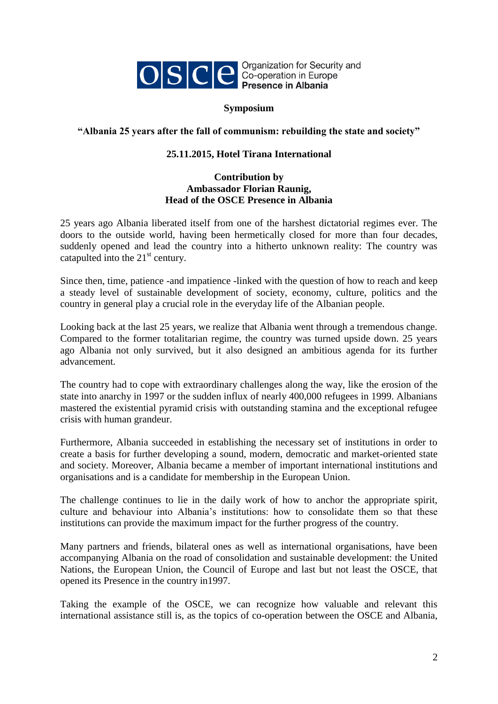

## **Symposium**

## **"Albania 25 years after the fall of communism: rebuilding the state and society"**

## **25.11.2015, Hotel Tirana International**

## **Contribution by Ambassador Florian Raunig, Head of the OSCE Presence in Albania**

25 years ago Albania liberated itself from one of the harshest dictatorial regimes ever. The doors to the outside world, having been hermetically closed for more than four decades, suddenly opened and lead the country into a hitherto unknown reality: The country was catapulted into the  $21<sup>st</sup>$  century.

Since then, time, patience -and impatience -linked with the question of how to reach and keep a steady level of sustainable development of society, economy, culture, politics and the country in general play a crucial role in the everyday life of the Albanian people.

Looking back at the last 25 years, we realize that Albania went through a tremendous change. Compared to the former totalitarian regime, the country was turned upside down. 25 years ago Albania not only survived, but it also designed an ambitious agenda for its further advancement.

The country had to cope with extraordinary challenges along the way, like the erosion of the state into anarchy in 1997 or the sudden influx of nearly 400,000 refugees in 1999. Albanians mastered the existential pyramid crisis with outstanding stamina and the exceptional refugee crisis with human grandeur.

Furthermore, Albania succeeded in establishing the necessary set of institutions in order to create a basis for further developing a sound, modern, democratic and market-oriented state and society. Moreover, Albania became a member of important international institutions and organisations and is a candidate for membership in the European Union.

The challenge continues to lie in the daily work of how to anchor the appropriate spirit, culture and behaviour into Albania's institutions: how to consolidate them so that these institutions can provide the maximum impact for the further progress of the country.

Many partners and friends, bilateral ones as well as international organisations, have been accompanying Albania on the road of consolidation and sustainable development: the United Nations, the European Union, the Council of Europe and last but not least the OSCE, that opened its Presence in the country in1997.

Taking the example of the OSCE, we can recognize how valuable and relevant this international assistance still is, as the topics of co-operation between the OSCE and Albania,